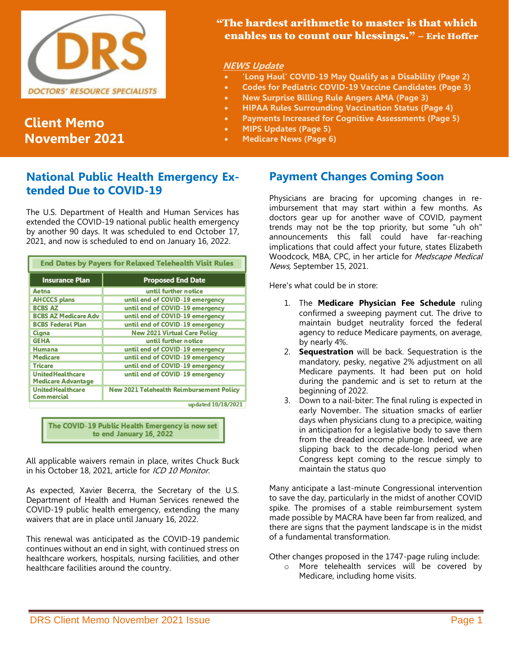

# **Client Memo November 2021**

## "The hardest arithmetic to master is that which enables us to count our blessings." – Eric Hoffer

#### **NEWS Update**

- **'Long Haul' COVID-19 May Qualify as a Disability (Page 2)**
- **Codes for Pediatric COVID-19 Vaccine Candidates (Page 3)**
- **New Surprise Billing Rule Angers AMA (Page 3)**
- **HIPAA Rules Surrounding Vaccination Status (Page 4)**
- **Payments Increased for Cognitive Assessments (Page 5)**
- **MIPS Updates (Page 5)**
- **Medicare News (Page 6)**

## **National Public Health Emergency Extended Due to COVID-19**

The U.S. Department of Health and Human Services has extended the COVID-19 national public health emergency by another 90 days. It was scheduled to end October 17, 2021, and now is scheduled to end on January 16, 2022.

| <b>End Dates by Payers for Relaxed Telehealth Visit Rules</b> |                                          |  |
|---------------------------------------------------------------|------------------------------------------|--|
| <b>Insurance Plan</b>                                         | <b>Proposed End Date</b>                 |  |
| Aetna                                                         | until further notice                     |  |
| <b>AHCCCS</b> plans                                           | until end of COVID-19 emergency          |  |
| <b>BCBS AZ</b>                                                | until end of COVID-19 emergency          |  |
| <b>BCBS AZ Medicare Adv</b>                                   | until end of COVID-19 emergency          |  |
| <b>BCBS Federal Plan</b>                                      | until end of COVID-19 emergency          |  |
| Cigna                                                         | <b>New 2021 Virtual Care Policy</b>      |  |
| <b>GEHA</b>                                                   | until further notice                     |  |
| Humana                                                        | until end of COVID-19 emergency          |  |
| Medicare                                                      | until end of COVID-19 emergency          |  |
| Tricare                                                       | until end of COVID-19 emergency          |  |
| <b>United Healthcare</b><br><b>Medicare Advantage</b>         | until end of COVID-19 emergency          |  |
| <b>United Healthcare</b><br><b>Commercial</b>                 | New 2021 Telehealth Reimbursement Policy |  |
|                                                               | updated 10/18/2021                       |  |

The COVID-19 Public Health Emergency is now set to end January 16, 2022

All applicable waivers remain in place, writes Chuck Buck in his October 18, 2021, article for ICD 10 Monitor.

As expected, Xavier Becerra, the Secretary of the U.S. Department of Health and Human Services renewed the COVID-19 public health emergency, extending the many waivers that are in place until January 16, 2022.

This renewal was anticipated as the COVID-19 pandemic continues without an end in sight, with continued stress on healthcare workers, hospitals, nursing facilities, and other healthcare facilities around the country.

## **Payment Changes Coming Soon**

Physicians are bracing for upcoming changes in reimbursement that may start within a few months. As doctors gear up for another wave of COVID, payment trends may not be the top priority, but some "uh oh" announcements this fall could have far-reaching implications that could affect your future, states Elizabeth Woodcock, MBA, CPC, in her article for Medscape Medical News, September 15, 2021.

Here's what could be in store:

- 1. The **Medicare Physician Fee Schedule** ruling confirmed a sweeping payment cut. The drive to maintain budget neutrality forced the federal agency to reduce Medicare payments, on average, by nearly 4%.
- 2. **Sequestration** will be back. Sequestration is the mandatory, pesky, negative 2% adjustment on all Medicare payments. It had been put on hold during the pandemic and is set to return at the beginning of 2022.
- 3. Down to a nail-biter: The final ruling is expected in early November. The situation smacks of earlier days when physicians clung to a precipice, waiting in anticipation for a legislative body to save them from the dreaded income plunge. Indeed, we are slipping back to the decade-long period when Congress kept coming to the rescue simply to maintain the status quo

Many anticipate a last-minute Congressional intervention to save the day, particularly in the midst of another COVID spike. The promises of a stable reimbursement system made possible by MACRA have been far from realized, and there are signs that the payment landscape is in the midst of a fundamental transformation.

Other changes proposed in the 1747-page ruling include:

o More telehealth services will be covered by Medicare, including home visits.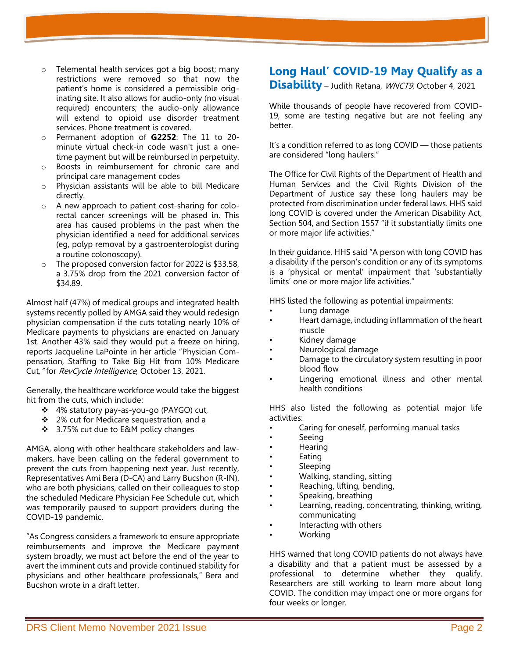- o Telemental health services got a big boost; many restrictions were removed so that now the patient's home is considered a permissible originating site. It also allows for audio-only (no visual required) encounters; the audio-only allowance will extend to opioid use disorder treatment services. Phone treatment is covered.
- Permanent adoption of **G2252**: The 11 to 20minute virtual check-in code wasn't just a onetime payment but will be reimbursed in perpetuity.
- o Boosts in reimbursement for chronic care and principal care management codes
- o Physician assistants will be able to bill Medicare directly.
- o A new approach to patient cost-sharing for colorectal cancer screenings will be phased in. This area has caused problems in the past when the physician identified a need for additional services (eg, polyp removal by a gastroenterologist during a routine colonoscopy).
- o The proposed conversion factor for 2022 is \$33.58, a 3.75% drop from the 2021 conversion factor of \$34.89.

Almost half (47%) of medical groups and integrated health systems recently polled by AMGA said they would redesign physician compensation if the cuts totaling nearly 10% of Medicare payments to physicians are enacted on January 1st. Another 43% said they would put a freeze on hiring, reports Jacqueline LaPointe in her article "Physician Compensation, Staffing to Take Big Hit from 10% Medicare Cut," for RevCycle Intelligence, October 13, 2021.

Generally, the healthcare workforce would take the biggest hit from the cuts, which include:

- ❖ 4% statutory pay-as-you-go (PAYGO) cut,
- ❖ 2% cut for Medicare sequestration, and a
- ❖ 3.75% cut due to E&M policy changes

AMGA, along with other healthcare stakeholders and lawmakers, have been calling on the federal government to prevent the cuts from happening next year. Just recently, Representatives Ami Bera (D-CA) and Larry Bucshon (R-IN), who are both physicians, called on their colleagues to stop the scheduled Medicare Physician Fee Schedule cut, which was temporarily paused to support providers during the COVID-19 pandemic.

"As Congress considers a framework to ensure appropriate reimbursements and improve the Medicare payment system broadly, we must act before the end of the year to avert the imminent cuts and provide continued stability for physicians and other healthcare professionals," Bera and Bucshon wrote in a draft letter.

# **Long Haul' COVID-19 May Qualify as a**

**Disability** – Judith Retana, WNCT9, October 4, 2021

While thousands of people have recovered from COVID-19, some are testing negative but are not feeling any better.

It's a condition referred to as long COVID — those patients are considered "long haulers."

The Office for Civil Rights of the Department of Health and Human Services and the Civil Rights Division of the Department of Justice say these long haulers may be protected from discrimination under federal laws. HHS said long COVID is covered under the American Disability Act, Section 504, and Section 1557 "if it substantially limits one or more major life activities."

In their guidance, HHS said "A person with long COVID has a disability if the person's condition or any of its symptoms is a 'physical or mental' impairment that 'substantially limits' one or more major life activities."

HHS listed the following as potential impairments:

- Lung damage
- Heart damage, including inflammation of the heart muscle
- Kidney damage
- Neurological damage
- Damage to the circulatory system resulting in poor blood flow
- Lingering emotional illness and other mental health conditions

HHS also listed the following as potential major life activities:

- Caring for oneself, performing manual tasks
- Seeing
- Hearing
- **Eating**
- **Sleeping**
- Walking, standing, sitting
- Reaching, lifting, bending,
- Speaking, breathing
- Learning, reading, concentrating, thinking, writing, communicating
- Interacting with others
- Working

HHS warned that long COVID patients do not always have a disability and that a patient must be assessed by a professional to determine whether they qualify. Researchers are still working to learn more about long COVID. The condition may impact one or more organs for four weeks or longer.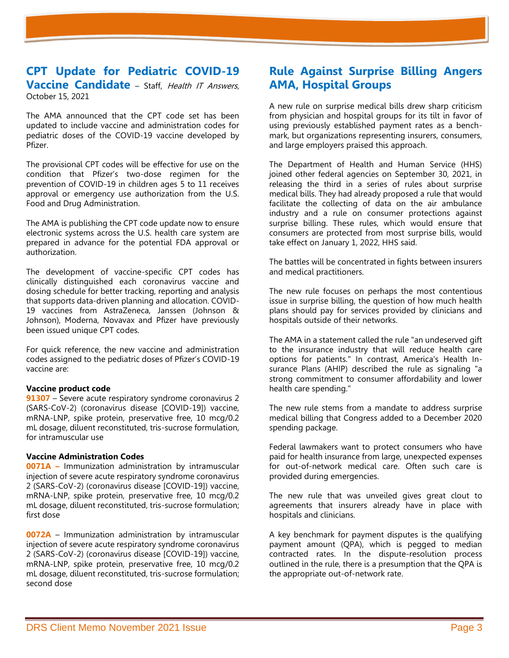#### **CPT Update for Pediatric COVID-19 Vaccine Candidate** – Staff, Health IT Answers, October 15, 2021

The AMA announced that the CPT code set has been updated to include vaccine and administration codes for pediatric doses of the COVID-19 vaccine developed by Pfizer.

The provisional CPT codes will be effective for use on the condition that Pfizer's two-dose regimen for the prevention of COVID-19 in children ages 5 to 11 receives approval or emergency use authorization from the U.S. Food and Drug Administration.

The AMA is publishing the CPT code update now to ensure electronic systems across the U.S. health care system are prepared in advance for the potential FDA approval or authorization.

The development of vaccine-specific CPT codes has clinically distinguished each coronavirus vaccine and dosing schedule for better tracking, reporting and analysis that supports data-driven planning and allocation. COVID-19 vaccines from AstraZeneca, Janssen (Johnson & Johnson), Moderna, Novavax and Pfizer have previously been issued unique CPT codes.

For quick reference, the new vaccine and administration codes assigned to the pediatric doses of Pfizer's COVID-19 vaccine are:

#### **Vaccine product code**

**91307** – Severe acute respiratory syndrome coronavirus 2 (SARS-CoV-2) (coronavirus disease [COVID-19]) vaccine, mRNA-LNP, spike protein, preservative free, 10 mcg/0.2 mL dosage, diluent reconstituted, tris-sucrose formulation, for intramuscular use

#### **Vaccine Administration Codes**

**0071A –** Immunization administration by intramuscular injection of severe acute respiratory syndrome coronavirus 2 (SARS-CoV-2) (coronavirus disease [COVID-19]) vaccine, mRNA-LNP, spike protein, preservative free, 10 mcg/0.2 mL dosage, diluent reconstituted, tris-sucrose formulation; first dose

**0072A** – Immunization administration by intramuscular injection of severe acute respiratory syndrome coronavirus 2 (SARS-CoV-2) (coronavirus disease [COVID-19]) vaccine, mRNA-LNP, spike protein, preservative free, 10 mcg/0.2 mL dosage, diluent reconstituted, tris-sucrose formulation; second dose

## **Rule Against Surprise Billing Angers AMA, Hospital Groups**

A new rule on surprise medical bills drew sharp criticism from physician and hospital groups for its tilt in favor of using previously established payment rates as a benchmark, but organizations representing insurers, consumers, and large employers praised this approach.

The Department of Health and Human Service (HHS) joined other federal agencies on September 30, 2021, in releasing the third in a series of rules about surprise medical bills. They had already proposed a rule that would facilitate the collecting of data on the air ambulance industry and a rule on consumer protections against surprise billing. These rules, which would ensure that consumers are protected from most surprise bills, would take effect on January 1, 2022, HHS said.

The battles will be concentrated in fights between insurers and medical practitioners.

The new rule focuses on perhaps the most contentious issue in surprise billing, the question of how much health plans should pay for services provided by clinicians and hospitals outside of their networks.

The AMA in a statement called the rule "an undeserved gift to the insurance industry that will reduce health care options for patients." In contrast, America's Health Insurance Plans (AHIP) described the rule as signaling "a strong commitment to consumer affordability and lower health care spending."

The new rule stems from a mandate to address surprise medical billing that Congress added to a December 2020 spending package.

Federal lawmakers want to protect consumers who have paid for health insurance from large, unexpected expenses for out-of-network medical care. Often such care is provided during emergencies.

The new rule that was unveiled gives great clout to agreements that insurers already have in place with hospitals and clinicians.

A key benchmark for payment disputes is the qualifying payment amount (QPA), which is pegged to median contracted rates. In the dispute-resolution process outlined in the rule, there is a presumption that the QPA is the appropriate out-of-network rate.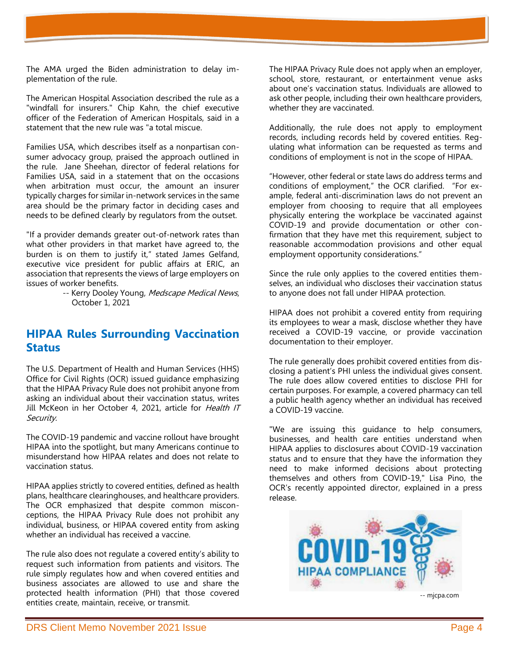The AMA urged the Biden administration to delay implementation of the rule.

The American Hospital Association described the rule as a "windfall for insurers." Chip Kahn, the chief executive officer of the Federation of American Hospitals, said in a statement that the new rule was "a total miscue.

Families USA, which describes itself as a nonpartisan consumer advocacy group, praised the approach outlined in the rule. Jane Sheehan, director of federal relations for Families USA, said in a statement that on the occasions when arbitration must occur, the amount an insurer typically charges for similar in-network services in the same area should be the primary factor in deciding cases and needs to be defined clearly by regulators from the outset.

"If a provider demands greater out-of-network rates than what other providers in that market have agreed to, the burden is on them to justify it," stated James Gelfand, executive vice president for public affairs at ERIC, an association that represents the views of large employers on issues of worker benefits.

> -- Kerry Dooley Young, Medscape Medical News, October 1, 2021

## **HIPAA Rules Surrounding Vaccination Status**

The U.S. Department of Health and Human Services (HHS) Office for Civil Rights (OCR) issued guidance emphasizing that the HIPAA Privacy Rule does not prohibit anyone from asking an individual about their vaccination status, writes Jill McKeon in her October 4, 2021, article for Health IT Security.

The COVID-19 pandemic and vaccine rollout have brought HIPAA into the spotlight, but many Americans continue to misunderstand how HIPAA relates and does not relate to vaccination status.

HIPAA applies strictly to covered entities, defined as health plans, healthcare clearinghouses, and healthcare providers. The OCR emphasized that despite common misconceptions, the HIPAA Privacy Rule does not prohibit any individual, business, or HIPAA covered entity from asking whether an individual has received a vaccine.

The rule also does not regulate a covered entity's ability to request such information from patients and visitors. The rule simply regulates how and when covered entities and business associates are allowed to use and share the protected health information (PHI) that those covered entities create, maintain, receive, or transmit.

The HIPAA Privacy Rule does not apply when an employer, school, store, restaurant, or entertainment venue asks about one's vaccination status. Individuals are allowed to ask other people, including their own healthcare providers, whether they are vaccinated.

Additionally, the rule does not apply to employment records, including records held by covered entities. Regulating what information can be requested as terms and conditions of employment is not in the scope of HIPAA.

"However, other federal or state laws do address terms and conditions of employment," the OCR clarified. "For example, federal anti-discrimination laws do not prevent an employer from choosing to require that all employees physically entering the workplace be vaccinated against COVID-19 and provide documentation or other confirmation that they have met this requirement, subject to reasonable accommodation provisions and other equal employment opportunity considerations."

Since the rule only applies to the covered entities themselves, an individual who discloses their vaccination status to anyone does not fall under HIPAA protection.

HIPAA does not prohibit a covered entity from requiring its employees to wear a mask, disclose whether they have received a COVID-19 vaccine, or provide vaccination documentation to their employer.

The rule generally does prohibit covered entities from disclosing a patient's PHI unless the individual gives consent. The rule does allow covered entities to disclose PHI for certain purposes. For example, a covered pharmacy can tell a public health agency whether an individual has received a COVID-19 vaccine.

"We are issuing this guidance to help consumers, businesses, and health care entities understand when HIPAA applies to disclosures about COVID-19 vaccination status and to ensure that they have the information they need to make informed decisions about protecting themselves and others from COVID-19," Lisa Pino, the OCR's recently appointed director, explained in a press release.

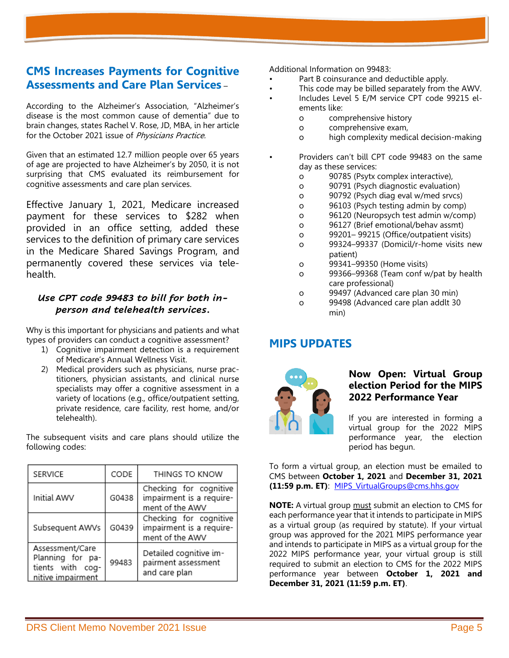## **CMS Increases Payments for Cognitive Assessments and Care Plan Services** –

According to the Alzheimer's Association, "Alzheimer's disease is the most common cause of dementia" due to brain changes, states Rachel V. Rose, JD, MBA, in her article for the October 2021 issue of Physicians Practice.

Given that an estimated 12.7 million people over 65 years of age are projected to have Alzheimer's by 2050, it is not surprising that CMS evaluated its reimbursement for cognitive assessments and care plan services.

Effective January 1, 2021, Medicare increased payment for these services to \$282 when provided in an office setting, added these services to the definition of primary care services in the Medicare Shared Savings Program, and permanently covered these services via telehealth.

### *Use CPT code 99483 to bill for both inperson and telehealth services***.**

Why is this important for physicians and patients and what types of providers can conduct a cognitive assessment?

- 1) Cognitive impairment detection is a requirement of Medicare's Annual Wellness Visit.
- 2) Medical providers such as physicians, nurse practitioners, physician assistants, and clinical nurse specialists may offer a cognitive assessment in a variety of locations (e.g., office/outpatient setting, private residence, care facility, rest home, and/or telehealth).

The subsequent visits and care plans should utilize the following codes:

| <b>SERVICE</b>                                                               | CODE  | THINGS TO KNOW                                                        |
|------------------------------------------------------------------------------|-------|-----------------------------------------------------------------------|
| Initial AWV                                                                  | G0438 | Checking for cognitive<br>impairment is a require-<br>ment of the AWV |
| Subsequent AWVs                                                              | G0439 | Checking for cognitive<br>impairment is a require-<br>ment of the AWV |
| Assessment/Care<br>Planning for pa-<br>tients with cog-<br>nitive impairment | 99483 | Detailed cognitive im-<br>pairment assessment<br>and care plan        |

Additional Information on 99483:

- Part B coinsurance and deductible apply.
- This code may be billed separately from the AWV.
- Includes Level 5 E/M service CPT code 99215 elements like:
	- o comprehensive history
	- o comprehensive exam,
	- o high complexity medical decision-making
	- Providers can't bill CPT code 99483 on the same day as these services:
		- o 90785 (Psytx complex interactive),
		- o 90791 (Psych diagnostic evaluation)
		- o 90792 (Psych diag eval w/med srvcs)
		- o 96103 (Psych testing admin by comp)
		- o 96120 (Neuropsych test admin w/comp)
		- o 96127 (Brief emotional/behav assmt)
		- o 99201– 99215 (Office/outpatient visits)
		- o 99324–99337 (Domicil/r-home visits new patient)
		- o 99341–99350 (Home visits)
		- o 99366–99368 (Team conf w/pat by health care professional)
		- o 99497 (Advanced care plan 30 min)
		- o 99498 (Advanced care plan addlt 30 min)

## **MIPS UPDATES**



### **Now Open: Virtual Group election Period for the MIPS 2022 Performance Year**

If you are interested in forming a virtual group for the 2022 MIPS performance year, the election period has begun.

To form a virtual group, an election must be emailed to CMS between **October 1, 2021** and **December 31, 2021 (11:59 p.m. ET)**: [MIPS\\_VirtualGroups@cms.hhs.gov](mailto:MIPS_VirtualGroups@cms.hhs.gov)

**NOTE:** A virtual group must submit an election to CMS for each performance year that it intends to participate in MIPS as a virtual group (as required by statute). If your virtual group was approved for the 2021 MIPS performance year and intends to participate in MIPS as a virtual group for the 2022 MIPS performance year, your virtual group is still required to submit an election to CMS for the 2022 MIPS performance year between **October 1, 2021 and December 31, 2021 (11:59 p.m. ET)**.